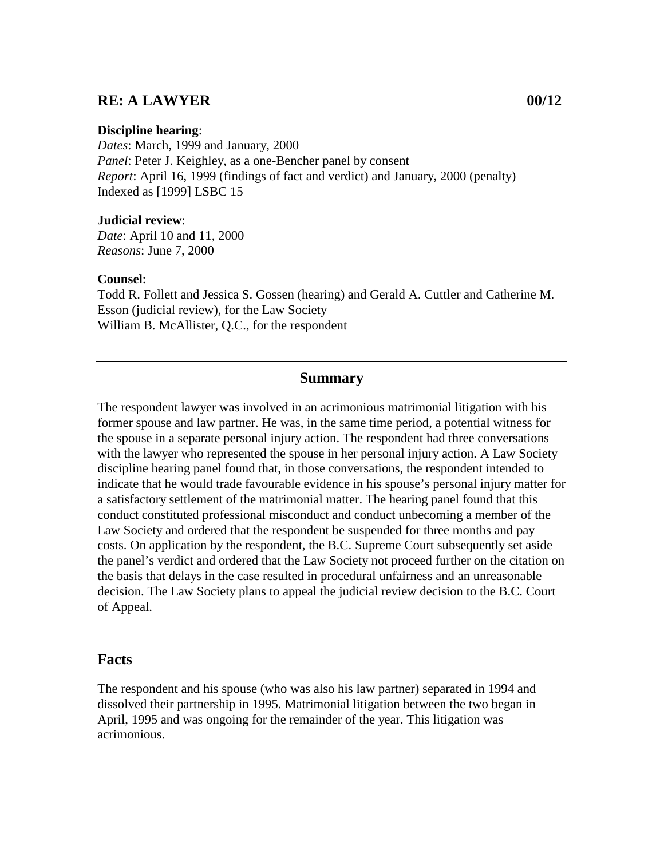## **RE: A LAWYER 00/12**

#### **Discipline hearing**:

*Dates*: March, 1999 and January, 2000 *Panel*: Peter J. Keighley, as a one-Bencher panel by consent *Report*: April 16, 1999 (findings of fact and verdict) and January, 2000 (penalty) Indexed as [1999] LSBC 15

#### **Judicial review**:

*Date*: April 10 and 11, 2000 *Reasons*: June 7, 2000

#### **Counsel**:

Todd R. Follett and Jessica S. Gossen (hearing) and Gerald A. Cuttler and Catherine M. Esson (judicial review), for the Law Society William B. McAllister, Q.C., for the respondent

## **Summary**

The respondent lawyer was involved in an acrimonious matrimonial litigation with his former spouse and law partner. He was, in the same time period, a potential witness for the spouse in a separate personal injury action. The respondent had three conversations with the lawyer who represented the spouse in her personal injury action. A Law Society discipline hearing panel found that, in those conversations, the respondent intended to indicate that he would trade favourable evidence in his spouse's personal injury matter for a satisfactory settlement of the matrimonial matter. The hearing panel found that this conduct constituted professional misconduct and conduct unbecoming a member of the Law Society and ordered that the respondent be suspended for three months and pay costs. On application by the respondent, the B.C. Supreme Court subsequently set aside the panel's verdict and ordered that the Law Society not proceed further on the citation on the basis that delays in the case resulted in procedural unfairness and an unreasonable decision. The Law Society plans to appeal the judicial review decision to the B.C. Court of Appeal.

## **Facts**

The respondent and his spouse (who was also his law partner) separated in 1994 and dissolved their partnership in 1995. Matrimonial litigation between the two began in April, 1995 and was ongoing for the remainder of the year. This litigation was acrimonious.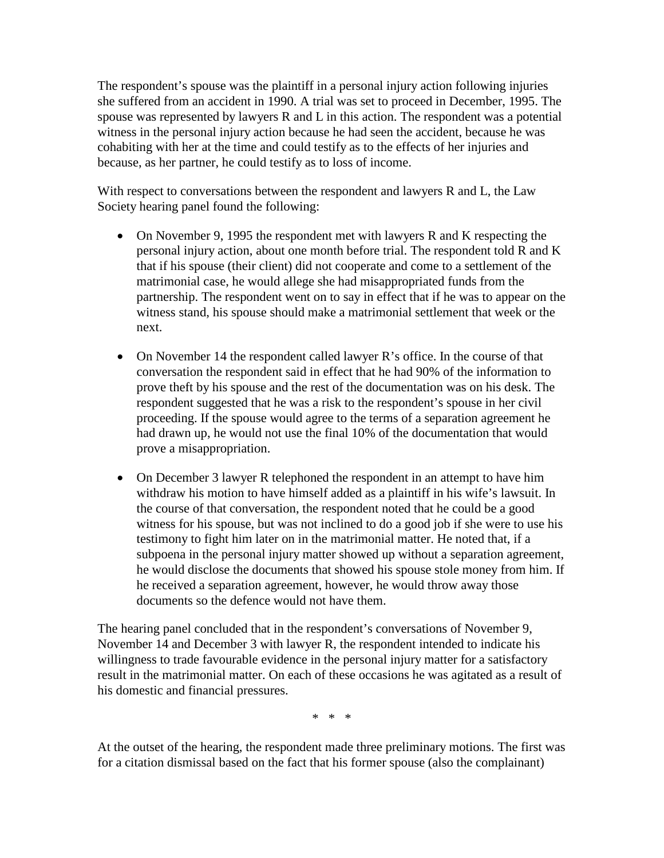The respondent's spouse was the plaintiff in a personal injury action following injuries she suffered from an accident in 1990. A trial was set to proceed in December, 1995. The spouse was represented by lawyers R and L in this action. The respondent was a potential witness in the personal injury action because he had seen the accident, because he was cohabiting with her at the time and could testify as to the effects of her injuries and because, as her partner, he could testify as to loss of income.

With respect to conversations between the respondent and lawyers R and L, the Law Society hearing panel found the following:

- On November 9, 1995 the respondent met with lawyers R and K respecting the personal injury action, about one month before trial. The respondent told R and K that if his spouse (their client) did not cooperate and come to a settlement of the matrimonial case, he would allege she had misappropriated funds from the partnership. The respondent went on to say in effect that if he was to appear on the witness stand, his spouse should make a matrimonial settlement that week or the next.
- On November 14 the respondent called lawyer R's office. In the course of that conversation the respondent said in effect that he had 90% of the information to prove theft by his spouse and the rest of the documentation was on his desk. The respondent suggested that he was a risk to the respondent's spouse in her civil proceeding. If the spouse would agree to the terms of a separation agreement he had drawn up, he would not use the final 10% of the documentation that would prove a misappropriation.
- On December 3 lawyer R telephoned the respondent in an attempt to have him withdraw his motion to have himself added as a plaintiff in his wife's lawsuit. In the course of that conversation, the respondent noted that he could be a good witness for his spouse, but was not inclined to do a good job if she were to use his testimony to fight him later on in the matrimonial matter. He noted that, if a subpoena in the personal injury matter showed up without a separation agreement, he would disclose the documents that showed his spouse stole money from him. If he received a separation agreement, however, he would throw away those documents so the defence would not have them.

The hearing panel concluded that in the respondent's conversations of November 9, November 14 and December 3 with lawyer R, the respondent intended to indicate his willingness to trade favourable evidence in the personal injury matter for a satisfactory result in the matrimonial matter. On each of these occasions he was agitated as a result of his domestic and financial pressures.

\* \* \*

At the outset of the hearing, the respondent made three preliminary motions. The first was for a citation dismissal based on the fact that his former spouse (also the complainant)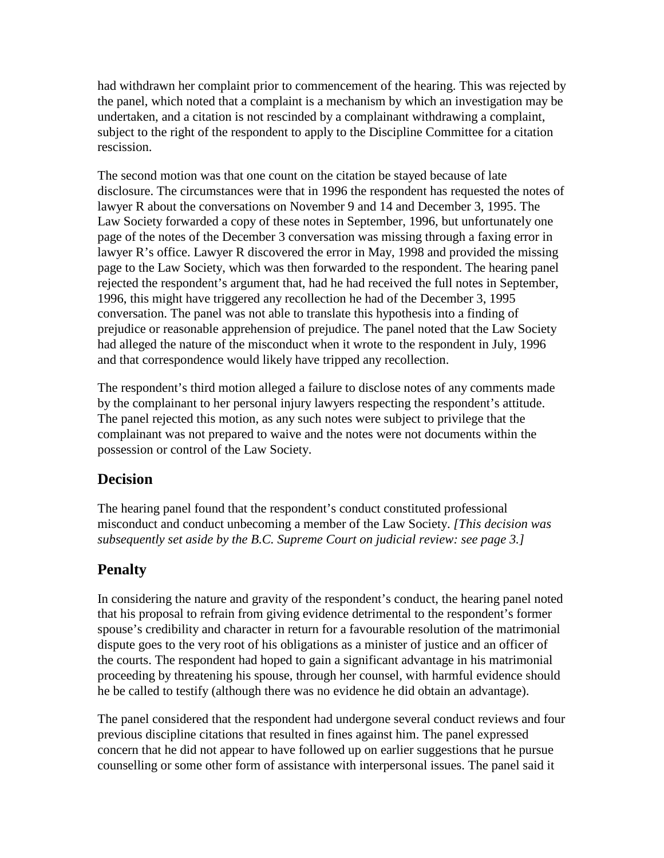had withdrawn her complaint prior to commencement of the hearing. This was rejected by the panel, which noted that a complaint is a mechanism by which an investigation may be undertaken, and a citation is not rescinded by a complainant withdrawing a complaint, subject to the right of the respondent to apply to the Discipline Committee for a citation rescission.

The second motion was that one count on the citation be stayed because of late disclosure. The circumstances were that in 1996 the respondent has requested the notes of lawyer R about the conversations on November 9 and 14 and December 3, 1995. The Law Society forwarded a copy of these notes in September, 1996, but unfortunately one page of the notes of the December 3 conversation was missing through a faxing error in lawyer R's office. Lawyer R discovered the error in May, 1998 and provided the missing page to the Law Society, which was then forwarded to the respondent. The hearing panel rejected the respondent's argument that, had he had received the full notes in September, 1996, this might have triggered any recollection he had of the December 3, 1995 conversation. The panel was not able to translate this hypothesis into a finding of prejudice or reasonable apprehension of prejudice. The panel noted that the Law Society had alleged the nature of the misconduct when it wrote to the respondent in July, 1996 and that correspondence would likely have tripped any recollection.

The respondent's third motion alleged a failure to disclose notes of any comments made by the complainant to her personal injury lawyers respecting the respondent's attitude. The panel rejected this motion, as any such notes were subject to privilege that the complainant was not prepared to waive and the notes were not documents within the possession or control of the Law Society.

## **Decision**

The hearing panel found that the respondent's conduct constituted professional misconduct and conduct unbecoming a member of the Law Society. *[This decision was subsequently set aside by the B.C. Supreme Court on judicial review: see page 3.]*

# **Penalty**

In considering the nature and gravity of the respondent's conduct, the hearing panel noted that his proposal to refrain from giving evidence detrimental to the respondent's former spouse's credibility and character in return for a favourable resolution of the matrimonial dispute goes to the very root of his obligations as a minister of justice and an officer of the courts. The respondent had hoped to gain a significant advantage in his matrimonial proceeding by threatening his spouse, through her counsel, with harmful evidence should he be called to testify (although there was no evidence he did obtain an advantage).

The panel considered that the respondent had undergone several conduct reviews and four previous discipline citations that resulted in fines against him. The panel expressed concern that he did not appear to have followed up on earlier suggestions that he pursue counselling or some other form of assistance with interpersonal issues. The panel said it